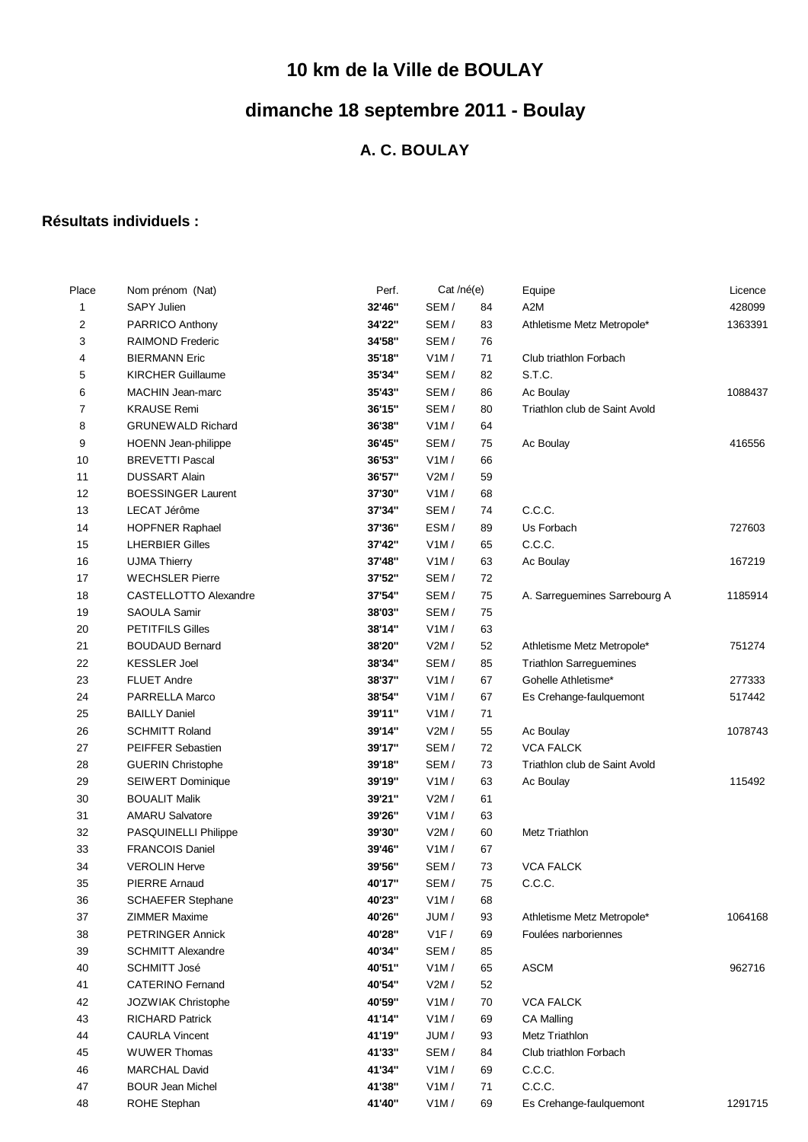## **10 km de la Ville de BOULAY**

## **dimanche 18 septembre 2011 - Boulay**

## **A. C. BOULAY**

## **Résultats individuels :**

| Place        | Nom prénom (Nat)          | Perf.  | Cat /né(e) |    | Equipe                         | Licence |
|--------------|---------------------------|--------|------------|----|--------------------------------|---------|
| $\mathbf{1}$ | <b>SAPY Julien</b>        | 32'46" | SEM/       | 84 | A <sub>2</sub> M               | 428099  |
| 2            | PARRICO Anthony           | 34'22" | SEM/       | 83 | Athletisme Metz Metropole*     | 1363391 |
| 3            | <b>RAIMOND Frederic</b>   | 34'58" | SEM/       | 76 |                                |         |
| 4            | <b>BIERMANN Eric</b>      | 35'18" | V1M/       | 71 | Club triathlon Forbach         |         |
| 5            | <b>KIRCHER Guillaume</b>  | 35'34" | SEM/       | 82 | S.T.C.                         |         |
| 6            | MACHIN Jean-marc          | 35'43" | SEM/       | 86 | Ac Boulay                      | 1088437 |
| 7            | <b>KRAUSE Remi</b>        | 36'15" | SEM/       | 80 | Triathlon club de Saint Avold  |         |
| 8            | <b>GRUNEWALD Richard</b>  | 36'38" | V1M/       | 64 |                                |         |
| 9            | HOENN Jean-philippe       | 36'45" | SEM/       | 75 | Ac Boulay                      | 416556  |
| 10           | <b>BREVETTI Pascal</b>    | 36'53" | V1M/       | 66 |                                |         |
| 11           | <b>DUSSART Alain</b>      | 36'57" | V2M/       | 59 |                                |         |
| 12           | <b>BOESSINGER Laurent</b> | 37'30" | V1M/       | 68 |                                |         |
| 13           | LECAT Jérôme              | 37'34" | SEM/       | 74 | C.C.C.                         |         |
| 14           | <b>HOPFNER Raphael</b>    | 37'36" | ESM/       | 89 | Us Forbach                     | 727603  |
| 15           | <b>LHERBIER Gilles</b>    | 37'42" | V1M/       | 65 | C.C.C.                         |         |
| 16           | <b>UJMA Thierry</b>       | 37'48" | V1M/       | 63 | Ac Boulay                      | 167219  |
| 17           | <b>WECHSLER Pierre</b>    | 37'52" | SEM/       | 72 |                                |         |
| 18           | CASTELLOTTO Alexandre     | 37'54" | SEM/       | 75 | A. Sarreguemines Sarrebourg A  | 1185914 |
| 19           | SAOULA Samir              | 38'03" | SEM/       | 75 |                                |         |
| 20           | <b>PETITFILS Gilles</b>   | 38'14" | V1M/       | 63 |                                |         |
| 21           | <b>BOUDAUD Bernard</b>    | 38'20" | V2M/       | 52 | Athletisme Metz Metropole*     | 751274  |
| 22           | <b>KESSLER Joel</b>       | 38'34" | SEM/       | 85 | <b>Triathlon Sarreguemines</b> |         |
| 23           | <b>FLUET Andre</b>        | 38'37" | V1M/       | 67 | Gohelle Athletisme*            | 277333  |
| 24           | PARRELLA Marco            | 38'54" | V1M/       | 67 | Es Crehange-faulquemont        | 517442  |
| 25           | <b>BAILLY Daniel</b>      | 39'11" | V1M/       | 71 |                                |         |
| 26           | <b>SCHMITT Roland</b>     | 39'14" | V2M/       | 55 | Ac Boulay                      | 1078743 |
| 27           | <b>PEIFFER Sebastien</b>  | 39'17" | SEM/       | 72 | <b>VCA FALCK</b>               |         |
| 28           | <b>GUERIN Christophe</b>  | 39'18" | SEM/       | 73 | Triathlon club de Saint Avold  |         |
| 29           | <b>SEIWERT Dominique</b>  | 39'19" | V1M/       | 63 | Ac Boulay                      | 115492  |
| 30           | <b>BOUALIT Malik</b>      | 39'21" | V2M/       | 61 |                                |         |
| 31           | <b>AMARU Salvatore</b>    | 39'26" | V1M/       | 63 |                                |         |
| 32           | PASQUINELLI Philippe      | 39'30" | V2M/       | 60 | Metz Triathlon                 |         |
| 33           | <b>FRANCOIS Daniel</b>    | 39'46" | V1M/       | 67 |                                |         |
| 34           | <b>VEROLIN Herve</b>      | 39'56" | SEM/       | 73 | <b>VCA FALCK</b>               |         |
| 35           | <b>PIERRE Arnaud</b>      | 40'17" | SEM/       | 75 | C.C.C.                         |         |
| 36           | <b>SCHAEFER Stephane</b>  | 40'23" | V1M/       | 68 |                                |         |
| 37           | ZIMMER Maxime             | 40'26" | JUM/       | 93 | Athletisme Metz Metropole*     | 1064168 |
| 38           | PETRINGER Annick          | 40'28" | V1F/       | 69 | Foulées narboriennes           |         |
| 39           | <b>SCHMITT Alexandre</b>  | 40'34" | SEM/       | 85 |                                |         |
| 40           | <b>SCHMITT José</b>       | 40'51" | V1M/       | 65 | <b>ASCM</b>                    | 962716  |
| 41           | <b>CATERINO Fernand</b>   | 40'54" | V2M/       | 52 |                                |         |
| 42           | JOZWIAK Christophe        | 40'59" | V1M/       | 70 | <b>VCA FALCK</b>               |         |
| 43           | <b>RICHARD Patrick</b>    | 41'14" | V1M/       | 69 | <b>CA Malling</b>              |         |
| 44           | <b>CAURLA Vincent</b>     | 41'19" | JUM/       | 93 | Metz Triathlon                 |         |
| 45           | <b>WUWER Thomas</b>       | 41'33" | SEM/       | 84 | Club triathlon Forbach         |         |
| 46           | <b>MARCHAL David</b>      | 41'34" | V1M/       | 69 | C.C.C.                         |         |
| 47           | <b>BOUR Jean Michel</b>   | 41'38" | V1M/       | 71 | C.C.C.                         |         |
| 48           | ROHE Stephan              | 41'40" | V1M/       | 69 | Es Crehange-faulquemont        | 1291715 |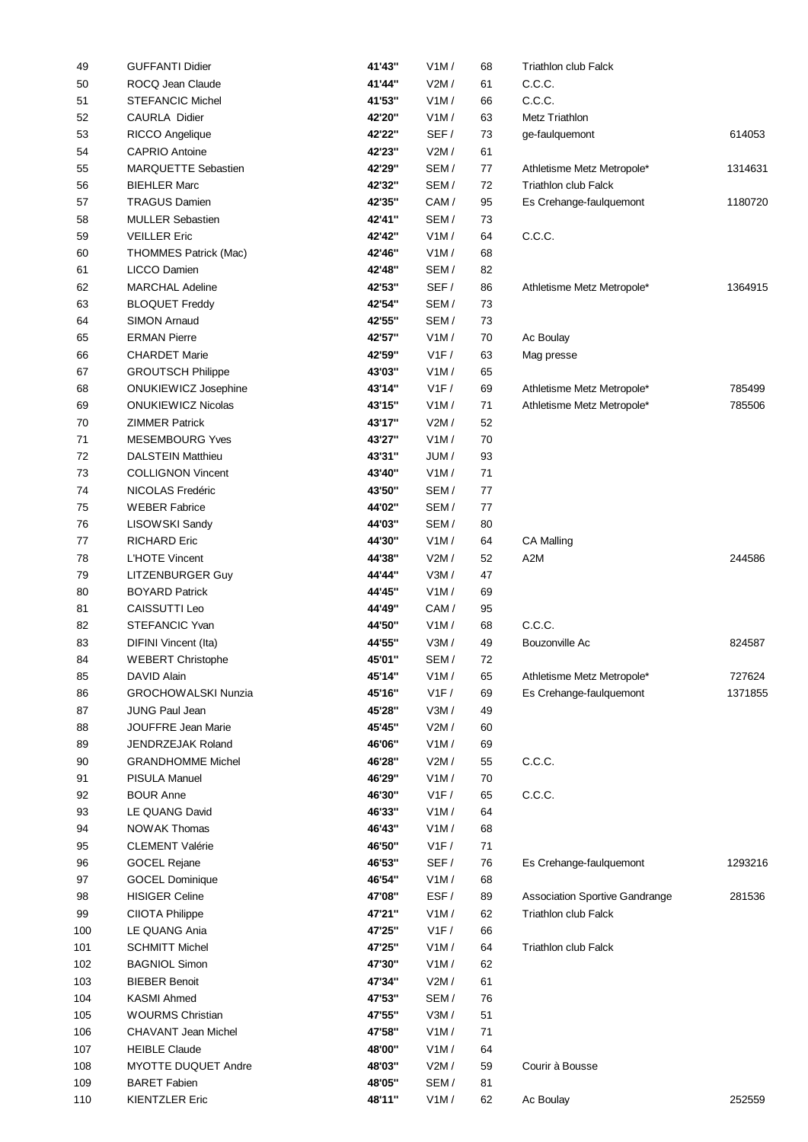| 49  | <b>GUFFANTI Didier</b>       | 41'43" | V1M/ | 68 | <b>Triathlon club Falck</b>    |         |
|-----|------------------------------|--------|------|----|--------------------------------|---------|
| 50  | ROCQ Jean Claude             | 41'44" | V2M/ | 61 | C.C.C.                         |         |
| 51  | <b>STEFANCIC Michel</b>      | 41'53" | V1M/ | 66 | C.C.C.                         |         |
| 52  | <b>CAURLA Didier</b>         | 42'20" | V1M/ | 63 | Metz Triathlon                 |         |
| 53  | RICCO Angelique              | 42'22" | SEF/ | 73 | ge-faulquemont                 | 614053  |
| 54  | <b>CAPRIO Antoine</b>        | 42'23" | V2M/ | 61 |                                |         |
| 55  | MARQUETTE Sebastien          | 42'29" | SEM/ | 77 | Athletisme Metz Metropole*     | 1314631 |
| 56  | <b>BIEHLER Marc</b>          | 42'32" | SEM/ | 72 | <b>Triathlon club Falck</b>    |         |
| 57  | <b>TRAGUS Damien</b>         | 42'35" | CAM/ | 95 | Es Crehange-faulquemont        | 1180720 |
| 58  | <b>MULLER Sebastien</b>      | 42'41" | SEM/ | 73 |                                |         |
| 59  | <b>VEILLER Eric</b>          | 42'42" | V1M/ | 64 | C.C.C.                         |         |
| 60  | <b>THOMMES Patrick (Mac)</b> | 42'46" | V1M/ | 68 |                                |         |
| 61  | LICCO Damien                 | 42'48" | SEM/ | 82 |                                |         |
| 62  | <b>MARCHAL Adeline</b>       | 42'53" | SEF/ | 86 | Athletisme Metz Metropole*     | 1364915 |
| 63  | <b>BLOQUET Freddy</b>        | 42'54" | SEM/ | 73 |                                |         |
| 64  | <b>SIMON Arnaud</b>          | 42'55" | SEM/ | 73 |                                |         |
| 65  | <b>ERMAN Pierre</b>          | 42'57" | V1M/ | 70 | Ac Boulay                      |         |
| 66  | <b>CHARDET Marie</b>         | 42'59" | V1F/ | 63 | Mag presse                     |         |
| 67  | <b>GROUTSCH Philippe</b>     | 43'03" | V1M/ | 65 |                                |         |
|     | ONUKIEWICZ Josephine         | 43'14" | V1F/ | 69 |                                | 785499  |
| 68  | <b>ONUKIEWICZ Nicolas</b>    | 43'15" | V1M/ | 71 | Athletisme Metz Metropole*     | 785506  |
| 69  | <b>ZIMMER Patrick</b>        |        |      |    | Athletisme Metz Metropole*     |         |
| 70  |                              | 43'17" | V2M/ | 52 |                                |         |
| 71  | <b>MESEMBOURG Yves</b>       | 43'27" | V1M/ | 70 |                                |         |
| 72  | <b>DALSTEIN Matthieu</b>     | 43'31" | JUM/ | 93 |                                |         |
| 73  | <b>COLLIGNON Vincent</b>     | 43'40" | V1M/ | 71 |                                |         |
| 74  | NICOLAS Fredéric             | 43'50" | SEM/ | 77 |                                |         |
| 75  | <b>WEBER Fabrice</b>         | 44'02" | SEM/ | 77 |                                |         |
| 76  | LISOWSKI Sandy               | 44'03" | SEM/ | 80 |                                |         |
| 77  | <b>RICHARD Eric</b>          | 44'30" | V1M/ | 64 | <b>CA Malling</b>              |         |
| 78  | L'HOTE Vincent               | 44'38" | V2M/ | 52 | A2M                            | 244586  |
| 79  | LITZENBURGER Guy             | 44'44" | V3M/ | 47 |                                |         |
| 80  | <b>BOYARD Patrick</b>        | 44'45" | V1M/ | 69 |                                |         |
| 81  | CAISSUTTI Leo                | 44'49" | CAM/ | 95 |                                |         |
| 82  | STEFANCIC Yvan               | 44'50" | V1M/ | 68 | C.C.C.                         |         |
| 83  | DIFINI Vincent (Ita)         | 44'55" | V3M/ | 49 | Bouzonville Ac                 | 824587  |
| 84  | <b>WEBERT Christophe</b>     | 45'01" | SEM/ | 72 |                                |         |
| 85  | DAVID Alain                  | 45'14" | V1M/ | 65 | Athletisme Metz Metropole*     | 727624  |
| 86  | <b>GROCHOWALSKI Nunzia</b>   | 45'16" | V1F/ | 69 | Es Crehange-faulquemont        | 1371855 |
| 87  | JUNG Paul Jean               | 45'28" | V3M/ | 49 |                                |         |
| 88  | JOUFFRE Jean Marie           | 45'45" | V2M/ | 60 |                                |         |
| 89  | JENDRZEJAK Roland            | 46'06" | V1M/ | 69 |                                |         |
| 90  | <b>GRANDHOMME Michel</b>     | 46'28" | V2M/ | 55 | C.C.C.                         |         |
| 91  | PISULA Manuel                | 46'29" | V1M/ | 70 |                                |         |
| 92  | <b>BOUR Anne</b>             | 46'30" | V1F/ | 65 | C.C.C.                         |         |
| 93  | LE QUANG David               | 46'33" | V1M/ | 64 |                                |         |
| 94  | NOWAK Thomas                 | 46'43" | V1M/ | 68 |                                |         |
| 95  | <b>CLEMENT Valérie</b>       | 46'50" | V1F/ | 71 |                                |         |
| 96  | GOCEL Rejane                 | 46'53" | SEF/ | 76 | Es Crehange-faulquemont        | 1293216 |
| 97  | <b>GOCEL Dominique</b>       | 46'54" | V1M/ | 68 |                                |         |
| 98  | <b>HISIGER Celine</b>        | 47'08" | ESF/ | 89 | Association Sportive Gandrange | 281536  |
| 99  | CIIOTA Philippe              | 47'21" | V1M/ | 62 | <b>Triathlon club Falck</b>    |         |
| 100 | LE QUANG Ania                | 47'25" | V1F/ | 66 |                                |         |
| 101 | <b>SCHMITT Michel</b>        | 47'25" | V1M/ | 64 | <b>Triathlon club Falck</b>    |         |
| 102 | <b>BAGNIOL Simon</b>         | 47'30" | V1M/ | 62 |                                |         |
| 103 | <b>BIEBER Benoit</b>         | 47'34" | V2M/ | 61 |                                |         |
| 104 | <b>KASMI Ahmed</b>           | 47'53" | SEM/ | 76 |                                |         |
| 105 | <b>WOURMS Christian</b>      | 47'55" | V3M/ | 51 |                                |         |
|     |                              | 47'58" |      |    |                                |         |
| 106 | CHAVANT Jean Michel          |        | V1M/ | 71 |                                |         |
| 107 | <b>HEIBLE Claude</b>         | 48'00" | V1M/ | 64 |                                |         |
| 108 | MYOTTE DUQUET Andre          | 48'03" | V2M/ | 59 | Courir à Bousse                |         |
| 109 | <b>BARET Fabien</b>          | 48'05" | SEM/ | 81 |                                |         |
| 110 | <b>KIENTZLER Eric</b>        | 48'11" | V1M/ | 62 | Ac Boulay                      | 252559  |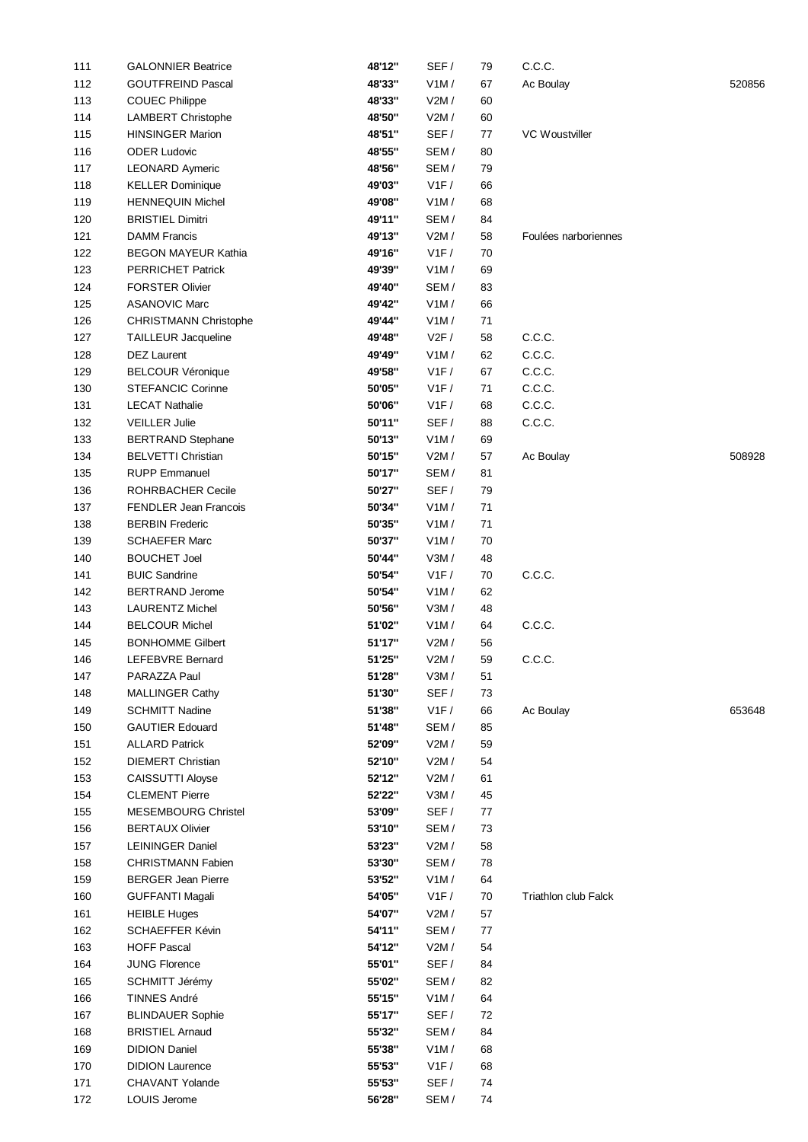| 111 | <b>GALONNIER Beatrice</b>  | 48'12" | SEF/ | 79 | C.C.C.               |        |
|-----|----------------------------|--------|------|----|----------------------|--------|
| 112 | <b>GOUTFREIND Pascal</b>   | 48'33" | V1M/ | 67 | Ac Boulay            | 520856 |
| 113 | <b>COUEC Philippe</b>      | 48'33" | V2M/ | 60 |                      |        |
| 114 | LAMBERT Christophe         | 48'50" | V2M/ | 60 |                      |        |
| 115 | <b>HINSINGER Marion</b>    | 48'51" | SEF/ | 77 | VC Woustviller       |        |
| 116 | <b>ODER Ludovic</b>        | 48'55" | SEM/ | 80 |                      |        |
| 117 | <b>LEONARD Aymeric</b>     | 48'56" | SEM/ | 79 |                      |        |
| 118 | <b>KELLER Dominique</b>    | 49'03" | V1F/ | 66 |                      |        |
| 119 | <b>HENNEQUIN Michel</b>    | 49'08" | V1M/ | 68 |                      |        |
| 120 | <b>BRISTIEL Dimitri</b>    | 49'11" | SEM/ | 84 |                      |        |
| 121 | <b>DAMM Francis</b>        | 49'13" | V2M/ | 58 | Foulées narboriennes |        |
| 122 | <b>BEGON MAYEUR Kathia</b> | 49'16" | V1F/ | 70 |                      |        |
| 123 | PERRICHET Patrick          | 49'39" | V1M/ | 69 |                      |        |
| 124 | <b>FORSTER Olivier</b>     | 49'40" | SEM/ | 83 |                      |        |
| 125 | <b>ASANOVIC Marc</b>       | 49'42" | V1M/ | 66 |                      |        |
| 126 | CHRISTMANN Christophe      | 49'44" | V1M/ | 71 |                      |        |
| 127 | TAILLEUR Jacqueline        | 49'48" | V2F/ | 58 | C.C.C.               |        |
| 128 | <b>DEZ Laurent</b>         | 49'49" | V1M/ | 62 | C.C.C.               |        |
| 129 | <b>BELCOUR Véronique</b>   | 49'58" | V1F/ | 67 | C.C.C.               |        |
| 130 | <b>STEFANCIC Corinne</b>   | 50'05" | V1F/ | 71 | C.C.C.               |        |
| 131 | <b>LECAT Nathalie</b>      | 50'06" | V1F/ | 68 | C.C.C.               |        |
| 132 | <b>VEILLER Julie</b>       | 50'11" | SEF/ | 88 | C.C.C.               |        |
| 133 | <b>BERTRAND Stephane</b>   | 50'13" | V1M/ | 69 |                      |        |
| 134 | <b>BELVETTI Christian</b>  | 50'15" | V2M/ | 57 | Ac Boulay            | 508928 |
| 135 | <b>RUPP Emmanuel</b>       | 50'17" | SEM/ | 81 |                      |        |
| 136 | ROHRBACHER Cecile          | 50'27" | SEF/ | 79 |                      |        |
| 137 | FENDLER Jean Francois      | 50'34" | V1M/ | 71 |                      |        |
|     | <b>BERBIN Frederic</b>     | 50'35" | V1M/ | 71 |                      |        |
| 138 |                            |        |      |    |                      |        |
| 139 | <b>SCHAEFER Marc</b>       | 50'37" | V1M/ | 70 |                      |        |
| 140 | <b>BOUCHET Joel</b>        | 50'44" | V3M/ | 48 |                      |        |
| 141 | <b>BUIC Sandrine</b>       | 50'54" | V1F/ | 70 | C.C.C.               |        |
| 142 | <b>BERTRAND Jerome</b>     | 50'54" | V1M/ | 62 |                      |        |
| 143 | <b>LAURENTZ Michel</b>     | 50'56" | V3M/ | 48 |                      |        |
| 144 | <b>BELCOUR Michel</b>      | 51'02" | V1M/ | 64 | C.C.C.               |        |
| 145 | <b>BONHOMME Gilbert</b>    | 51'17" | V2M/ | 56 |                      |        |
| 146 | <b>LEFEBVRE Bernard</b>    | 51'25" | V2M/ | 59 | C.C.C.               |        |
| 147 | PARAZZA Paul               | 51'28" | V3M/ | 51 |                      |        |
| 148 | <b>MALLINGER Cathy</b>     | 51'30" | SEF/ | 73 |                      |        |
| 149 | <b>SCHMITT Nadine</b>      | 51'38" | V1F/ | 66 | Ac Boulay            | 653648 |
| 150 | <b>GAUTIER Edouard</b>     | 51'48" | SEM/ | 85 |                      |        |
| 151 | <b>ALLARD Patrick</b>      | 52'09" | V2M/ | 59 |                      |        |
| 152 | <b>DIEMERT Christian</b>   | 52'10" | V2M/ | 54 |                      |        |
| 153 | CAISSUTTI Aloyse           | 52'12" | V2M/ | 61 |                      |        |
| 154 | <b>CLEMENT Pierre</b>      | 52'22" | V3M/ | 45 |                      |        |
| 155 | <b>MESEMBOURG Christel</b> | 53'09" | SEF/ | 77 |                      |        |
| 156 | <b>BERTAUX Olivier</b>     | 53'10" | SEM/ | 73 |                      |        |
| 157 | <b>LEININGER Daniel</b>    | 53'23" | V2M/ | 58 |                      |        |
| 158 | <b>CHRISTMANN Fabien</b>   | 53'30" | SEM/ | 78 |                      |        |
| 159 | <b>BERGER Jean Pierre</b>  | 53'52" | V1M/ | 64 |                      |        |
| 160 | <b>GUFFANTI Magali</b>     | 54'05" | V1F/ | 70 | Triathlon club Falck |        |
| 161 | <b>HEIBLE Huges</b>        | 54'07" | V2M/ | 57 |                      |        |
| 162 | SCHAEFFER Kévin            | 54'11" | SEM/ | 77 |                      |        |
| 163 | <b>HOFF Pascal</b>         | 54'12" | V2M/ | 54 |                      |        |
| 164 | <b>JUNG Florence</b>       | 55'01" | SEF/ | 84 |                      |        |
| 165 | SCHMITT Jérémy             | 55'02" | SEM/ | 82 |                      |        |
| 166 | <b>TINNES André</b>        | 55'15" | V1M/ | 64 |                      |        |
| 167 | <b>BLINDAUER Sophie</b>    | 55'17" | SEF/ | 72 |                      |        |
| 168 | <b>BRISTIEL Arnaud</b>     | 55'32" | SEM/ | 84 |                      |        |
| 169 | <b>DIDION Daniel</b>       | 55'38" | V1M/ | 68 |                      |        |
| 170 | <b>DIDION Laurence</b>     | 55'53" | V1F/ | 68 |                      |        |
| 171 | CHAVANT Yolande            | 55'53" | SEF/ | 74 |                      |        |
| 172 | LOUIS Jerome               | 56'28" | SEM/ | 74 |                      |        |